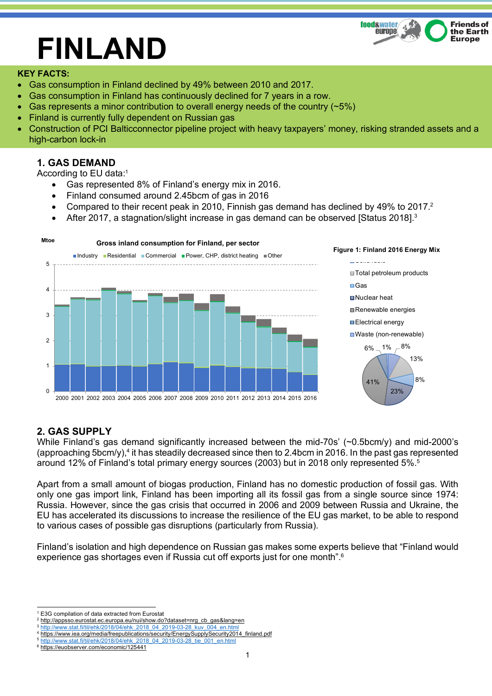

# **FINLAND**

#### **KEY FACTS:**

- Gas consumption in Finland declined by 49% between 2010 and 2017.
- Gas consumption in Finland has continuously declined for 7 years in a row.
- Gas represents a minor contribution to overall energy needs of the country  $(25%)$
- Finland is currently fully dependent on Russian gas
- Construction of PCI Balticconnector pipeline project with heavy taxpayers' money, risking stranded assets and a high-carbon lock-in

## **1. GAS DEMAND**

According to EU data:1

- Gas represented 8% of Finland's energy mix in 2016.
- Finland consumed around 2.45bcm of gas in 2016
- Compared to their recent peak in 2010, Finnish gas demand has declined by 49% to 2017.<sup>2</sup>
- After 2017, a stagnation/slight increase in gas demand can be observed [Status 2018].<sup>3</sup>



## **2. GAS SUPPLY**

While Finland's gas demand significantly increased between the mid-70s' (~0.5bcm/y) and mid-2000's (approaching 5bcm/y), <sup>4</sup> it has steadily decreased since then to 2.4bcm in 2016. In the past gas represented around 12% of Finland's total primary energy sources (2003) but in 2018 only represented 5%.5

Apart from a small amount of biogas production, Finland has no domestic production of fossil gas. With only one gas import link, Finland has been importing all its fossil gas from a single source since 1974: Russia. However, since the gas crisis that occurred in 2006 and 2009 between Russia and Ukraine, the EU has accelerated its discussions to increase the resilience of the EU gas market, to be able to respond to various cases of possible gas disruptions (particularly from Russia).

Finland's isolation and high dependence on Russian gas makes some experts believe that "Finland would experience gas shortages even if Russia cut off exports just for one month".<sup>6</sup>

 <sup>1</sup> E3G compilation of data extracted from Eurostat

<sup>&</sup>lt;sup>2</sup> http://appsso.eurostat.ec.europa.eu/nui/show.do?dataset=nrg\_cb\_gas&lang=en <sup>3</sup> http://www.stat.fi/til/ehk/2018/04/ehk\_2018\_04\_2019-03-28\_kuv\_004\_en.html

<sup>4</sup> https://www.iea.org/media/freepublications/security/EnergySupplySecurity2014\_finland.pdf

<sup>5</sup> http://www.stat.fi/til/ehk/2018/04/ehk\_2018\_04\_2019-03-28\_tie\_001\_en.html

<sup>6</sup> https://euobserver.com/economic/125441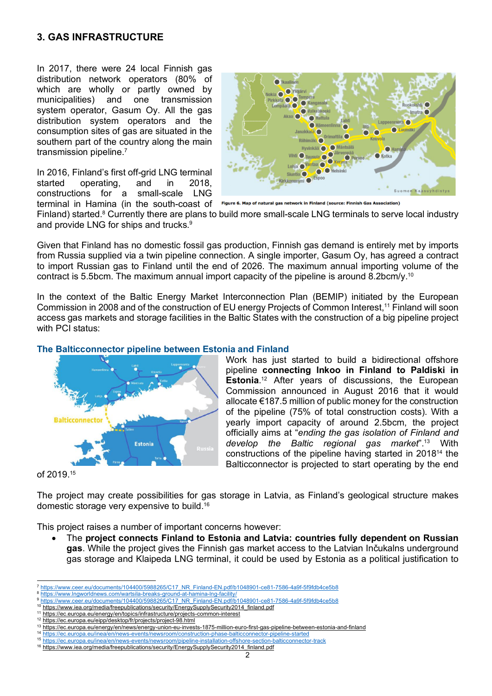### **3. GAS INFRASTRUCTURE**

In 2017, there were 24 local Finnish gas distribution network operators (80% of which are wholly or partly owned by municipalities) and one transmission system operator, Gasum Oy. All the gas distribution system operators and the consumption sites of gas are situated in the southern part of the country along the main transmission pipeline.7

In 2016, Finland's first off-grid LNG terminal started operating, and in 2018, constructions for a small-scale LNG



terminal in Hamina (in the south-coast of Figure 6. Map of natural gas network in Finland (source: Finnish Gas Association)

Finland) started.<sup>8</sup> Currently there are plans to build more small-scale LNG terminals to serve local industry and provide LNG for ships and trucks.<sup>9</sup>

Given that Finland has no domestic fossil gas production, Finnish gas demand is entirely met by imports from Russia supplied via a twin pipeline connection. A single importer, Gasum Oy, has agreed a contract to import Russian gas to Finland until the end of 2026. The maximum annual importing volume of the contract is 5.5bcm. The maximum annual import capacity of the pipeline is around 8.2bcm/y.<sup>10</sup>

In the context of the Baltic Energy Market Interconnection Plan (BEMIP) initiated by the European Commission in 2008 and of the construction of EU energy Projects of Common Interest, <sup>11</sup> Finland will soon access gas markets and storage facilities in the Baltic States with the construction of a big pipeline project with PCI status:



#### **The Balticconnector pipeline between Estonia and Finland**

Work has just started to build a bidirectional offshore pipeline **connecting Inkoo in Finland to Paldiski in Estonia**. <sup>12</sup> After years of discussions, the European Commission announced in August 2016 that it would allocate €187.5 million of public money for the construction of the pipeline (75% of total construction costs). With a yearly import capacity of around 2.5bcm, the project officially aims at "*ending the gas isolation of Finland and develop the Baltic regional gas market*".13 With constructions of the pipeline having started in 201814 the Balticconnector is projected to start operating by the end

of 2019.15

The project may create possibilities for gas storage in Latvia, as Finland's geological structure makes domestic storage very expensive to build.16

This project raises a number of important concerns however:

• The **project connects Finland to Estonia and Latvia: countries fully dependent on Russian gas**. While the project gives the Finnish gas market access to the Latvian Inčukalns underground gas storage and Klaipeda LNG terminal, it could be used by Estonia as a political justification to

 <sup>7</sup> https://www.ceer.eu/documents/104400/5988265/C17\_NR\_Finland-EN.pdf/b1048901-ce81-7586-4a9f-5f9fdb4ce5b8

https://www.lngworldnews.com/wartsila-breaks-ground-at-hamina-lng-facility/

https://www.ceer.eu/documents/104400/5988265/C17\_NR\_Finland-EN.pdf/b1048901-ce81-7586-4a9f-5f9fdb4ce5b8

<sup>&</sup>lt;sup>10</sup> https://www.iea.org/media/freepublications/security/EnergySupplySecurity2014\_finland.pdf

<sup>&</sup>lt;sup>11</sup> https://ec.europa.eu/energy/en/topics/infrastructure/projects-common-interest <sup>12</sup> https://ec.europa.eu/eipp/desktop/fr/projects/project-98.html

<sup>13</sup> https://ec.europa.eu/energy/en/news/energy-union-eu-invests-1875-million-euro-first-gas-pipeline-between-estonia-and-finland

<sup>14</sup> https://ec.europa.eu/inea/en/news-events/newsroom/construction-phase-balticconnector-pipeline-started

<sup>15</sup> https://ec.europa.eu/inea/en/news-events/newsroom/pipeline-installation-offshore-section-balticconnector-track

<sup>16</sup> https://www.iea.org/media/freepublications/security/EnergySupplySecurity2014\_finland.pdf